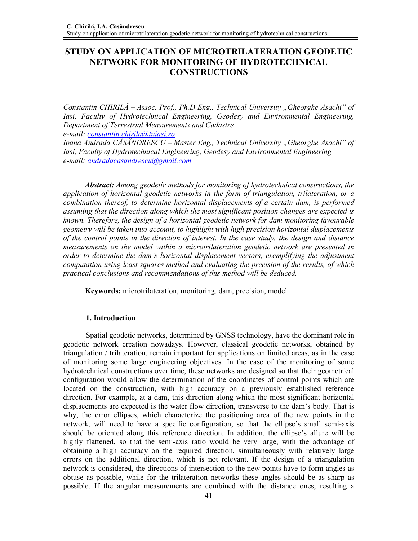# **STUDY ON APPLICATION OF MICROTRILATERATION GEODETIC NETWORK FOR MONITORING OF HYDROTECHNICAL CONSTRUCTIONS**

*Constantin CHIRILĂ* – *Assoc. Prof., Ph.D Eng., Technical University "Gheorghe Asachi" of Iasi, Faculty of Hydrotechnical Engineering, Geodesy and Environmental Engineering, Department of Terrestrial Measurements and Cadastre e-mail: constantin.chirila@tuiasi.ro*

*Ioana Andrada CĂSĂNDRESCU – Master Eng., Technical University "Gheorghe Asachi" of Iasi, Faculty of Hydrotechnical Engineering, Geodesy and Environmental Engineering e-mail: andradacasandrescu@gmail.com*

*Abstract: Among geodetic methods for monitoring of hydrotechnical constructions, the application of horizontal geodetic networks in the form of triangulation, trilateration, or a combination thereof, to determine horizontal displacements of a certain dam, is performed assuming that the direction along which the most significant position changes are expected is known. Therefore, the design of a horizontal geodetic network for dam monitoring favourable geometry will be taken into account, to highlight with high precision horizontal displacements of the control points in the direction of interest. In the case study, the design and distance measurements on the model within a microtrilateration geodetic network are presented in order to determine the dam's horizontal displacement vectors, exemplifying the adjustment computation using least squares method and evaluating the precision of the results, of which practical conclusions and recommendations of this method will be deduced.* 

**Keywords:** microtrilateration, monitoring, dam, precision, model.

### **1. Introduction**

Spatial geodetic networks, determined by GNSS technology, have the dominant role in geodetic network creation nowadays. However, classical geodetic networks, obtained by triangulation / trilateration, remain important for applications on limited areas, as in the case of monitoring some large engineering objectives. In the case of the monitoring of some hydrotechnical constructions over time, these networks are designed so that their geometrical configuration would allow the determination of the coordinates of control points which are located on the construction, with high accuracy on a previously established reference direction. For example, at a dam, this direction along which the most significant horizontal displacements are expected is the water flow direction, transverse to the dam's body. That is why, the error ellipses, which characterize the positioning area of the new points in the network, will need to have a specific configuration, so that the ellipse's small semi-axis should be oriented along this reference direction. In addition, the ellipse's allure will be highly flattened, so that the semi-axis ratio would be very large, with the advantage of obtaining a high accuracy on the required direction, simultaneously with relatively large errors on the additional direction, which is not relevant. If the design of a triangulation network is considered, the directions of intersection to the new points have to form angles as obtuse as possible, while for the trilateration networks these angles should be as sharp as possible. If the angular measurements are combined with the distance ones, resulting a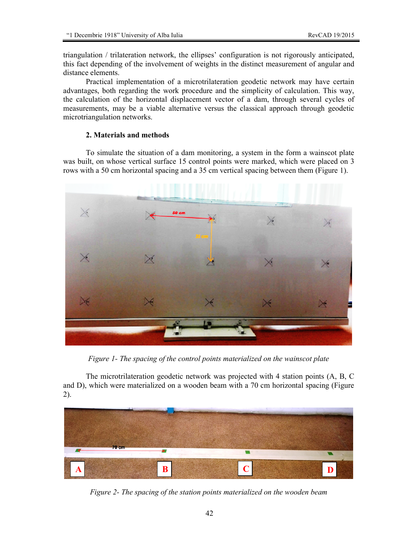triangulation / trilateration network, the ellipses' configuration is not rigorously anticipated, this fact depending of the involvement of weights in the distinct measurement of angular and distance elements.

Practical implementation of a microtrilateration geodetic network may have certain advantages, both regarding the work procedure and the simplicity of calculation. This way, the calculation of the horizontal displacement vector of a dam, through several cycles of measurements, may be a viable alternative versus the classical approach through geodetic microtriangulation networks.

## **2. Materials and methods**

To simulate the situation of a dam monitoring, a system in the form a wainscot plate was built, on whose vertical surface 15 control points were marked, which were placed on 3 rows with a 50 cm horizontal spacing and a 35 cm vertical spacing between them (Figure 1).



*Figure 1- The spacing of the control points materialized on the wainscot plate* 

The microtrilateration geodetic network was projected with 4 station points (A, B, C and D), which were materialized on a wooden beam with a 70 cm horizontal spacing (Figure 2).



*Figure 2- The spacing of the station points materialized on the wooden beam*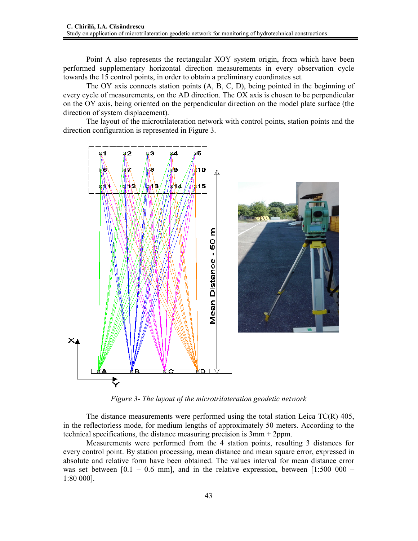Point A also represents the rectangular XOY system origin, from which have been performed supplementary horizontal direction measurements in every observation cycle towards the 15 control points, in order to obtain a preliminary coordinates set.

The OY axis connects station points (A, B, C, D), being pointed in the beginning of every cycle of measurements, on the AD direction. The OX axis is chosen to be perpendicular on the OY axis, being oriented on the perpendicular direction on the model plate surface (the direction of system displacement).

The layout of the microtrilateration network with control points, station points and the direction configuration is represented in Figure 3.



*Figure 3- The layout of the microtrilateration geodetic network* 

The distance measurements were performed using the total station Leica TC(R) 405, in the reflectorless mode, for medium lengths of approximately 50 meters. According to the technical specifications, the distance measuring precision is 3mm + 2ppm.

Measurements were performed from the 4 station points, resulting 3 distances for every control point. By station processing, mean distance and mean square error, expressed in absolute and relative form have been obtained. The values interval for mean distance error was set between  $[0.1 - 0.6$  mm], and in the relative expression, between  $[1:500 000 -$ 1:80 000].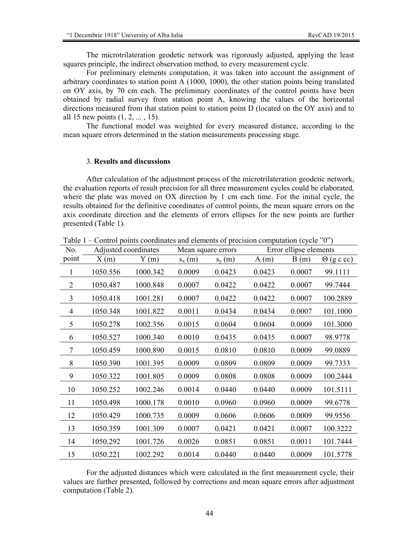The microtrilateration geodetic network was rigorously adjusted, applying the least squares principle, the indirect observation method, to every measurement cycle.

For preliminary elements computation, it was taken into account the assignment of arbitrary coordinates to station point A (1000, 1000), the other station points being translated on OY axis, by 70 cm each. The preliminary coordinates of the control points have been obtained by radial survey from station point A, knowing the values of the horizontal directions measured from that station point to station point D (located on the OY axis) and to all 15 new points (1, 2, ... , 15).

The functional model was weighted for every measured distance, according to the mean square errors determined in the station measurements processing stage.

#### 3. **Results and discussions**

After calculation of the adjustment process of the microtrilateration geodetic network, the evaluation reports of result precision for all three measurement cycles could be elaborated, where the plate was moved on OX direction by 1 cm each time. For the initial cycle, the results obtained for the definitive coordinates of control points, the mean square errors on the axis coordinate direction and the elements of errors ellipses for the new points are further presented (Table 1).

| No.            | Adjusted coordinates |          | Mean square errors |            | Error ellipse elements |        |                   |
|----------------|----------------------|----------|--------------------|------------|------------------------|--------|-------------------|
| point          | X(m)                 | Y(m)     | $s_x(m)$           | $S_{V}(m)$ | A(m)                   | B(m)   | $\Theta$ (g c cc) |
| 1              | 1050.556             | 1000.342 | 0.0009             | 0.0423     | 0.0423                 | 0.0007 | 99.1111           |
| $\overline{2}$ | 1050.487             | 1000.848 | 0.0007             | 0.0422     | 0.0422                 | 0.0007 | 99.7444           |
| 3              | 1050.418             | 1001.281 | 0.0007             | 0.0422     | 0.0422                 | 0.0007 | 100.2889          |
| 4              | 1050.348             | 1001.822 | 0.0011             | 0.0434     | 0.0434                 | 0.0007 | 101.1000          |
| 5              | 1050.278             | 1002.356 | 0.0015             | 0.0604     | 0.0604                 | 0.0009 | 101.3000          |
| 6              | 1050.527             | 1000.340 | 0.0010             | 0.0435     | 0.0435                 | 0.0007 | 98.9778           |
| 7              | 1050.459             | 1000.890 | 0.0015             | 0.0810     | 0.0810                 | 0.0009 | 99.0889           |
| 8              | 1050.390             | 1001.395 | 0.0009             | 0.0809     | 0.0809                 | 0.0009 | 99.7333           |
| 9              | 1050.322             | 1001.805 | 0.0009             | 0.0808     | 0.0808                 | 0.0009 | 100.2444          |
| 10             | 1050.252             | 1002.246 | 0.0014             | 0.0440     | 0.0440                 | 0.0009 | 101.5111          |
| 11             | 1050.498             | 1000.178 | 0.0010             | 0.0960     | 0.0960                 | 0.0009 | 99.6778           |
| 12             | 1050.429             | 1000.735 | 0.0009             | 0.0606     | 0.0606                 | 0.0009 | 99.9556           |
| 13             | 1050.359             | 1001.309 | 0.0007             | 0.0421     | 0.0421                 | 0.0007 | 100.3222          |
| 14             | 1050.292             | 1001.726 | 0.0026             | 0.0851     | 0.0851                 | 0.0011 | 101.7444          |
| 15             | 1050.221             | 1002.292 | 0.0014             | 0.0440     | 0.0440                 | 0.0009 | 101.5778          |

Table 1 – Control points coordinates and elements of precision computation (cycle "0")

For the adjusted distances which were calculated in the first measurement cycle, their values are further presented, followed by corrections and mean square errors after adjustment computation (Table 2).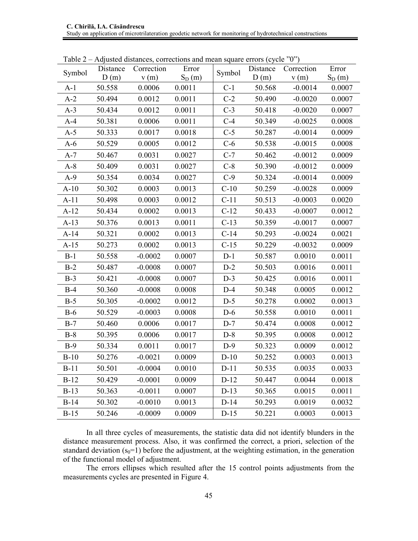| Symbol | Distance | Table $2 -$ Adjusted distances, corrections and mean square critics (cycle $\alpha$ )<br>Correction | Error    | Symbol | Distance | Correction | Error    |
|--------|----------|-----------------------------------------------------------------------------------------------------|----------|--------|----------|------------|----------|
|        | D(m)     | v(m)                                                                                                | $S_D(m)$ |        | D(m)     | v(m)       | $S_D(m)$ |
| $A-1$  | 50.558   | 0.0006                                                                                              | 0.0011   | $C-1$  | 50.568   | $-0.0014$  | 0.0007   |
| $A-2$  | 50.494   | 0.0012                                                                                              | 0.0011   | $C-2$  | 50.490   | $-0.0020$  | 0.0007   |
| $A-3$  | 50.434   | 0.0012                                                                                              | 0.0011   | $C-3$  | 50.418   | $-0.0020$  | 0.0007   |
| $A-4$  | 50.381   | 0.0006                                                                                              | 0.0011   | $C-4$  | 50.349   | $-0.0025$  | 0.0008   |
| $A-5$  | 50.333   | 0.0017                                                                                              | 0.0018   | $C-5$  | 50.287   | $-0.0014$  | 0.0009   |
| $A-6$  | 50.529   | 0.0005                                                                                              | 0.0012   | $C-6$  | 50.538   | $-0.0015$  | 0.0008   |
| $A-7$  | 50.467   | 0.0031                                                                                              | 0.0027   | $C-7$  | 50.462   | $-0.0012$  | 0.0009   |
| $A-8$  | 50.409   | 0.0031                                                                                              | 0.0027   | $C-8$  | 50.390   | $-0.0012$  | 0.0009   |
| $A-9$  | 50.354   | 0.0034                                                                                              | 0.0027   | $C-9$  | 50.324   | $-0.0014$  | 0.0009   |
| $A-10$ | 50.302   | 0.0003                                                                                              | 0.0013   | $C-10$ | 50.259   | $-0.0028$  | 0.0009   |
| $A-11$ | 50.498   | 0.0003                                                                                              | 0.0012   | $C-11$ | 50.513   | $-0.0003$  | 0.0020   |
| $A-12$ | 50.434   | 0.0002                                                                                              | 0.0013   | $C-12$ | 50.433   | $-0.0007$  | 0.0012   |
| $A-13$ | 50.376   | 0.0013                                                                                              | 0.0011   | $C-13$ | 50.359   | $-0.0017$  | 0.0007   |
| $A-14$ | 50.321   | 0.0002                                                                                              | 0.0013   | $C-14$ | 50.293   | $-0.0024$  | 0.0021   |
| $A-15$ | 50.273   | 0.0002                                                                                              | 0.0013   | $C-15$ | 50.229   | $-0.0032$  | 0.0009   |
| $B-1$  | 50.558   | $-0.0002$                                                                                           | 0.0007   | $D-1$  | 50.587   | 0.0010     | 0.0011   |
| $B-2$  | 50.487   | $-0.0008$                                                                                           | 0.0007   | $D-2$  | 50.503   | 0.0016     | 0.0011   |
| $B-3$  | 50.421   | $-0.0008$                                                                                           | 0.0007   | $D-3$  | 50.425   | 0.0016     | 0.0011   |
| $B-4$  | 50.360   | $-0.0008$                                                                                           | 0.0008   | $D-4$  | 50.348   | 0.0005     | 0.0012   |
| $B-5$  | 50.305   | $-0.0002$                                                                                           | 0.0012   | $D-5$  | 50.278   | 0.0002     | 0.0013   |
| $B-6$  | 50.529   | $-0.0003$                                                                                           | 0.0008   | $D-6$  | 50.558   | 0.0010     | 0.0011   |
| $B-7$  | 50.460   | 0.0006                                                                                              | 0.0017   | $D-7$  | 50.474   | 0.0008     | 0.0012   |
| $B-8$  | 50.395   | 0.0006                                                                                              | 0.0017   | $D-8$  | 50.395   | 0.0008     | 0.0012   |
| $B-9$  | 50.334   | 0.0011                                                                                              | 0.0017   | $D-9$  | 50.323   | 0.0009     | 0.0012   |
| $B-10$ | 50.276   | $-0.0021$                                                                                           | 0.0009   | $D-10$ | 50.252   | 0.0003     | 0.0013   |
| $B-11$ | 50.501   | $-0.0004$                                                                                           | 0.0010   | $D-11$ | 50.535   | 0.0035     | 0.0033   |
| $B-12$ | 50.429   | $-0.0001$                                                                                           | 0.0009   | $D-12$ | 50.447   | 0.0044     | 0.0018   |
| $B-13$ | 50.363   | $-0.0011$                                                                                           | 0.0007   | $D-13$ | 50.365   | 0.0015     | 0.0011   |
| $B-14$ | 50.302   | $-0.0010$                                                                                           | 0.0013   | $D-14$ | 50.293   | 0.0019     | 0.0032   |
| $B-15$ | 50.246   | $-0.0009$                                                                                           | 0.0009   | $D-15$ | 50.221   | 0.0003     | 0.0013   |

Table  $2 -$  Adjusted distances, corrections and mean square errors (cycle  $"0"$ )

In all three cycles of measurements, the statistic data did not identify blunders in the distance measurement process. Also, it was confirmed the correct, a priori, selection of the standard deviation  $(s_0=1)$  before the adjustment, at the weighting estimation, in the generation of the functional model of adjustment.

The errors ellipses which resulted after the 15 control points adjustments from the measurements cycles are presented in Figure 4.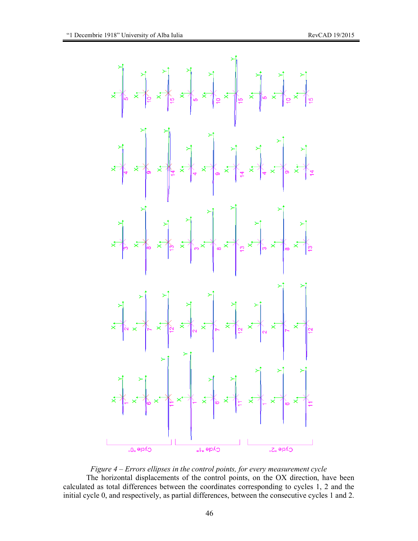

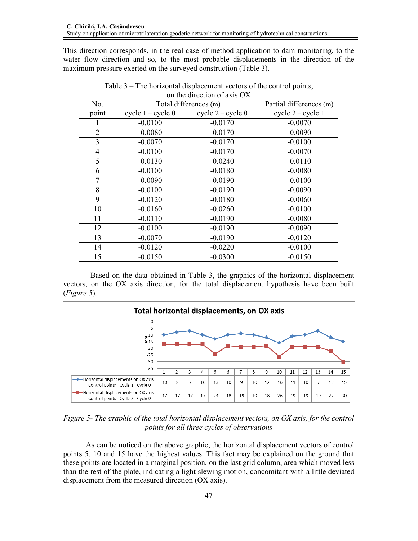This direction corresponds, in the real case of method application to dam monitoring, to the water flow direction and so, to the most probable displacements in the direction of the maximum pressure exerted on the surveyed construction (Table 3).

| on the direction of axis $\cup \Lambda$ |                       |                         |                     |  |  |  |
|-----------------------------------------|-----------------------|-------------------------|---------------------|--|--|--|
| No.                                     | Total differences (m) | Partial differences (m) |                     |  |  |  |
| point                                   | cycle $1 - cycle 0$   | cycle $2 - cycle 0$     | cycle $2 - cycle 1$ |  |  |  |
| 1                                       | $-0.0100$             | $-0.0170$               | $-0.0070$           |  |  |  |
| $\overline{2}$                          | $-0.0080$             | $-0.0170$               | $-0.0090$           |  |  |  |
| 3                                       | $-0.0070$             | $-0.0170$               | $-0.0100$           |  |  |  |
| 4                                       | $-0.0100$             | $-0.0170$               | $-0.0070$           |  |  |  |
| 5                                       | $-0.0130$             | $-0.0240$               | $-0.0110$           |  |  |  |
| 6                                       | $-0.0100$             | $-0.0180$               | $-0.0080$           |  |  |  |
| 7                                       | $-0.0090$             | $-0.0190$               | $-0.0100$           |  |  |  |
| 8                                       | $-0.0100$             | $-0.0190$               | $-0.0090$           |  |  |  |
| 9                                       | $-0.0120$             | $-0.0180$               | $-0.0060$           |  |  |  |
| 10                                      | $-0.0160$             | $-0.0260$               | $-0.0100$           |  |  |  |
| 11                                      | $-0.0110$             | $-0.0190$               | $-0.0080$           |  |  |  |
| 12                                      | $-0.0100$             | $-0.0190$               | $-0.0090$           |  |  |  |
| 13                                      | $-0.0070$             | $-0.0190$               | $-0.0120$           |  |  |  |
| 14                                      | $-0.0120$             | $-0.0220$               | $-0.0100$           |  |  |  |
| 15                                      | $-0.0150$             | $-0.0300$               | $-0.0150$           |  |  |  |

Table 3 – The horizontal displacement vectors of the control points, on the direction of axis OX

Based on the data obtained in Table 3, the graphics of the horizontal displacement vectors, on the OX axis direction, for the total displacement hypothesis have been built (*Figure 5*).



*Figure 5- The graphic of the total horizontal displacement vectors, on OX axis, for the control points for all three cycles of observations* 

As can be noticed on the above graphic, the horizontal displacement vectors of control points 5, 10 and 15 have the highest values. This fact may be explained on the ground that these points are located in a marginal position, on the last grid column, area which moved less than the rest of the plate, indicating a light slewing motion, concomitant with a little deviated displacement from the measured direction (OX axis).